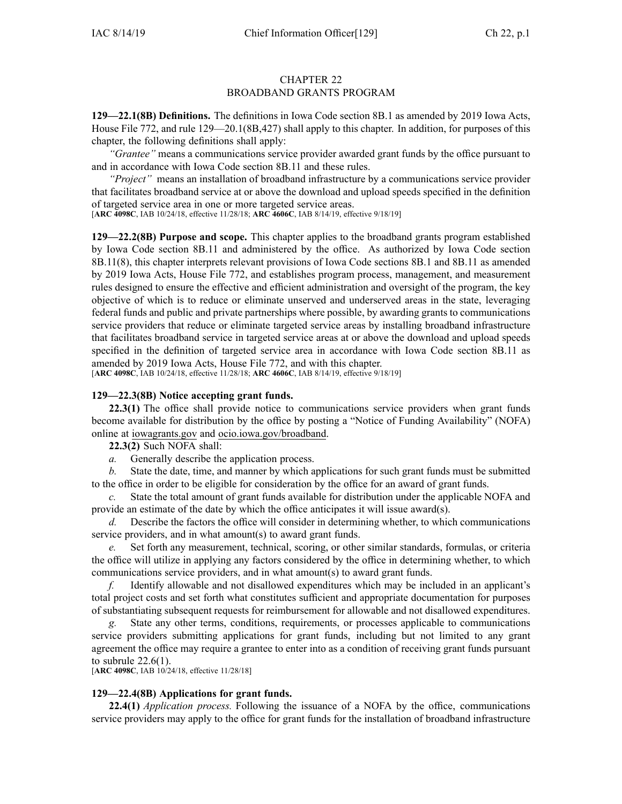# CHAPTER 22 BROADBAND GRANTS PROGRAM

**129—22.1(8B) Definitions.** The definitions in Iowa Code section [8B.1](https://www.legis.iowa.gov/docs/ico/section/8B.1.pdf) as amended by 2019 Iowa Acts, House File 772, and rule [129—20.1](https://www.legis.iowa.gov/docs/iac/rule/129.20.1.pdf)(8B,427) shall apply to this chapter. In addition, for purposes of this chapter, the following definitions shall apply:

*"Grantee"* means <sup>a</sup> communications service provider awarded gran<sup>t</sup> funds by the office pursuan<sup>t</sup> to and in accordance with Iowa Code section [8B.11](https://www.legis.iowa.gov/docs/ico/section/2018/8B.11.pdf) and these rules.

*"Project"* means an installation of broadband infrastructure by <sup>a</sup> communications service provider that facilitates broadband service at or above the download and upload speeds specified in the definition of targeted service area in one or more targeted service areas.

[**ARC [4098C](https://www.legis.iowa.gov/docs/aco/arc/4098C.pdf)**, IAB 10/24/18, effective 11/28/18; **ARC [4606C](https://www.legis.iowa.gov/docs/aco/arc/4606C.pdf)**, IAB 8/14/19, effective 9/18/19]

**129—22.2(8B) Purpose and scope.** This chapter applies to the broadband grants program established by Iowa Code section [8B.11](https://www.legis.iowa.gov/docs/ico/section/2018/8B.11.pdf) and administered by the office. As authorized by Iowa Code section [8B.11\(8\)](https://www.legis.iowa.gov/docs/ico/section/2018/8B.11.pdf), this chapter interprets relevant provisions of Iowa Code sections [8B.1](https://www.legis.iowa.gov/docs/ico/section/8B.1.pdf) and [8B.11](https://www.legis.iowa.gov/docs/ico/section/8B.11.pdf) as amended by 2019 Iowa Acts, House File 772, and establishes program process, management, and measurement rules designed to ensure the effective and efficient administration and oversight of the program, the key objective of which is to reduce or eliminate unserved and underserved areas in the state, leveraging federal funds and public and private partnerships where possible, by awarding grants to communications service providers that reduce or eliminate targeted service areas by installing broadband infrastructure that facilitates broadband service in targeted service areas at or above the download and upload speeds specified in the definition of targeted service area in accordance with Iowa Code section [8B.11](https://www.legis.iowa.gov/docs/ico/section/8B.11.pdf) as amended by 2019 Iowa Acts, House File 772, and with this chapter.

[**ARC [4098C](https://www.legis.iowa.gov/docs/aco/arc/4098C.pdf)**, IAB 10/24/18, effective 11/28/18; **ARC [4606C](https://www.legis.iowa.gov/docs/aco/arc/4606C.pdf)**, IAB 8/14/19, effective 9/18/19]

### **129—22.3(8B) Notice accepting grant funds.**

**22.3(1)** The office shall provide notice to communications service providers when gran<sup>t</sup> funds become available for distribution by the office by posting <sup>a</sup> "Notice of Funding Availability" (NOFA) online at [iowagrants.gov](http://iowagrants.gov) and [ocio.iowa.gov/broadband](http://ocio.iowa.gov/broadband).

**22.3(2)** Such NOFA shall:

*a.* Generally describe the application process.

*b.* State the date, time, and manner by which applications for such gran<sup>t</sup> funds must be submitted to the office in order to be eligible for consideration by the office for an award of gran<sup>t</sup> funds.

*c.* State the total amount of gran<sup>t</sup> funds available for distribution under the applicable NOFA and provide an estimate of the date by which the office anticipates it will issue award(s).

*d.* Describe the factors the office will consider in determining whether, to which communications service providers, and in what amount(s) to award grant funds.

*e.* Set forth any measurement, technical, scoring, or other similar standards, formulas, or criteria the office will utilize in applying any factors considered by the office in determining whether, to which communications service providers, and in what amount(s) to award gran<sup>t</sup> funds.

*f.* Identify allowable and not disallowed expenditures which may be included in an applicant's total project costs and set forth what constitutes sufficient and appropriate documentation for purposes of substantiating subsequent requests for reimbursement for allowable and not disallowed expenditures.

*g.* State any other terms, conditions, requirements, or processes applicable to communications service providers submitting applications for gran<sup>t</sup> funds, including but not limited to any gran<sup>t</sup> agreemen<sup>t</sup> the office may require <sup>a</sup> grantee to enter into as <sup>a</sup> condition of receiving gran<sup>t</sup> funds pursuan<sup>t</sup> to subrule 22.6(1).

[**ARC [4098C](https://www.legis.iowa.gov/docs/aco/arc/4098C.pdf)**, IAB 10/24/18, effective 11/28/18]

### **129—22.4(8B) Applications for grant funds.**

**22.4(1)** *Application process.* Following the issuance of <sup>a</sup> NOFA by the office, communications service providers may apply to the office for gran<sup>t</sup> funds for the installation of broadband infrastructure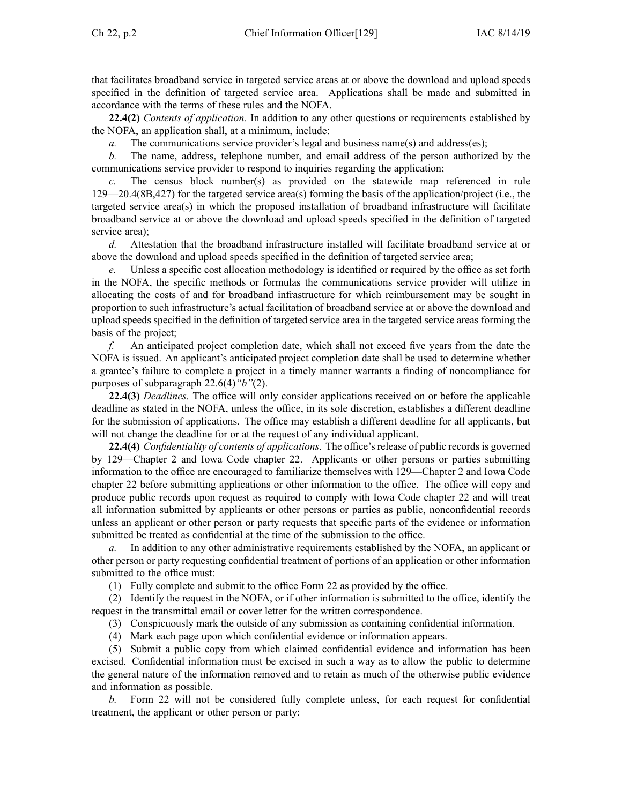that facilitates broadband service in targeted service areas at or above the download and upload speeds specified in the definition of targeted service area. Applications shall be made and submitted in accordance with the terms of these rules and the NOFA.

**22.4(2)** *Contents of application.* In addition to any other questions or requirements established by the NOFA, an application shall, at <sup>a</sup> minimum, include:

*a.* The communications service provider's legal and business name(s) and address(es);

*b.* The name, address, telephone number, and email address of the person authorized by the communications service provider to respond to inquiries regarding the application;

The census block number(s) as provided on the statewide map referenced in rule [129—20.4](https://www.legis.iowa.gov/docs/iac/rule/129.20.4.pdf)(8B,427) for the targeted service area(s) forming the basis of the application/project (i.e., the targeted service area(s) in which the proposed installation of broadband infrastructure will facilitate broadband service at or above the download and upload speeds specified in the definition of targeted service area);

*d.* Attestation that the broadband infrastructure installed will facilitate broadband service at or above the download and upload speeds specified in the definition of targeted service area;

Unless a specific cost allocation methodology is identified or required by the office as set forth in the NOFA, the specific methods or formulas the communications service provider will utilize in allocating the costs of and for broadband infrastructure for which reimbursement may be sought in proportion to such infrastructure's actual facilitation of broadband service at or above the download and upload speeds specified in the definition of targeted service area in the targeted service areas forming the basis of the project;

*f.* An anticipated project completion date, which shall not exceed five years from the date the NOFA is issued. An applicant's anticipated project completion date shall be used to determine whether <sup>a</sup> grantee's failure to complete <sup>a</sup> project in <sup>a</sup> timely manner warrants <sup>a</sup> finding of noncompliance for purposes of subparagraph 22.6(4)*"b"*(2).

**22.4(3)** *Deadlines.* The office will only consider applications received on or before the applicable deadline as stated in the NOFA, unless the office, in its sole discretion, establishes <sup>a</sup> different deadline for the submission of applications. The office may establish <sup>a</sup> different deadline for all applicants, but will not change the deadline for or at the reques<sup>t</sup> of any individual applicant.

**22.4(4)** *Confidentiality of contents of applications.* The office'srelease of public recordsis governed by 129—Chapter 2 and Iowa Code chapter [22](https://www.legis.iowa.gov/docs/ico/chapter/2018/22.pdf). Applicants or other persons or parties submitting information to the office are encouraged to familiarize themselves with 129—Chapter 2 and Iowa Code chapter [22](https://www.legis.iowa.gov/docs/ico/chapter/2018/22.pdf) before submitting applications or other information to the office. The office will copy and produce public records upon reques<sup>t</sup> as required to comply with Iowa Code chapter [22](https://www.legis.iowa.gov/docs/ico/chapter/2018/22.pdf) and will treat all information submitted by applicants or other persons or parties as public, nonconfidential records unless an applicant or other person or party requests that specific parts of the evidence or information submitted be treated as confidential at the time of the submission to the office.

*a.* In addition to any other administrative requirements established by the NOFA, an applicant or other person or party requesting confidential treatment of portions of an application or other information submitted to the office must:

(1) Fully complete and submit to the office Form 22 as provided by the office.

(2) Identify the reques<sup>t</sup> in the NOFA, or if other information is submitted to the office, identify the reques<sup>t</sup> in the transmittal email or cover letter for the written correspondence.

(3) Conspicuously mark the outside of any submission as containing confidential information.

(4) Mark each page upon which confidential evidence or information appears.

(5) Submit <sup>a</sup> public copy from which claimed confidential evidence and information has been excised. Confidential information must be excised in such <sup>a</sup> way as to allow the public to determine the general nature of the information removed and to retain as much of the otherwise public evidence and information as possible.

*b.* Form 22 will not be considered fully complete unless, for each reques<sup>t</sup> for confidential treatment, the applicant or other person or party: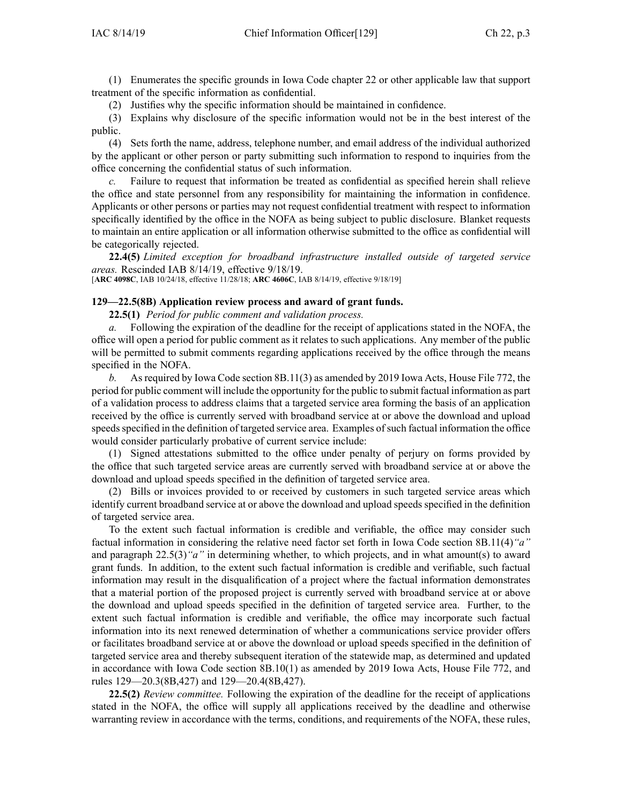(1) Enumerates the specific grounds in Iowa Code chapter [22](https://www.legis.iowa.gov/docs/ico/chapter/2018/22.pdf) or other applicable law that suppor<sup>t</sup> treatment of the specific information as confidential.

(2) Justifies why the specific information should be maintained in confidence.

(3) Explains why disclosure of the specific information would not be in the best interest of the public.

(4) Sets forth the name, address, telephone number, and email address of the individual authorized by the applicant or other person or party submitting such information to respond to inquiries from the office concerning the confidential status of such information.

*c.* Failure to reques<sup>t</sup> that information be treated as confidential as specified herein shall relieve the office and state personnel from any responsibility for maintaining the information in confidence. Applicants or other persons or parties may not reques<sup>t</sup> confidential treatment with respec<sup>t</sup> to information specifically identified by the office in the NOFA as being subject to public disclosure. Blanket requests to maintain an entire application or all information otherwise submitted to the office as confidential will be categorically rejected.

**22.4(5)** *Limited exception for broadband infrastructure installed outside of targeted service areas.* Rescinded IAB [8/14/19](https://www.legis.iowa.gov/docs/aco/bulletin/08-14-2019.pdf), effective 9/18/19.

[**ARC [4098C](https://www.legis.iowa.gov/docs/aco/arc/4098C.pdf)**, IAB 10/24/18, effective 11/28/18; **ARC [4606C](https://www.legis.iowa.gov/docs/aco/arc/4606C.pdf)**, IAB 8/14/19, effective 9/18/19]

#### **129—22.5(8B) Application review process and award of grant funds.**

**22.5(1)** *Period for public comment and validation process.*

*a.* Following the expiration of the deadline for the receipt of applications stated in the NOFA, the office will open <sup>a</sup> period for public comment as it relates to such applications. Any member of the public will be permitted to submit comments regarding applications received by the office through the means specified in the NOFA.

*b.* Asrequired by Iowa Code section [8B.11\(3\)](https://www.legis.iowa.gov/docs/ico/section/8B.11.pdf) as amended by 2019 Iowa Acts, House File 772, the period for public comment will include the opportunity for the public to submit factual information as par<sup>t</sup> of <sup>a</sup> validation process to address claims that <sup>a</sup> targeted service area forming the basis of an application received by the office is currently served with broadband service at or above the download and upload speeds specified in the definition of targeted service area. Examples of such factual information the office would consider particularly probative of current service include:

(1) Signed attestations submitted to the office under penalty of perjury on forms provided by the office that such targeted service areas are currently served with broadband service at or above the download and upload speeds specified in the definition of targeted service area.

(2) Bills or invoices provided to or received by customers in such targeted service areas which identify current broadband service at or above the download and upload speeds specified in the definition of targeted service area.

To the extent such factual information is credible and verifiable, the office may consider such factual information in considering the relative need factor set forth in Iowa Code section [8B.11\(4\)](https://www.legis.iowa.gov/docs/ico/section/8B.11.pdf)*"a"* and paragraph [22.5\(3\)](https://www.legis.iowa.gov/docs/iac/rule/129.22.5.pdf)*"a"* in determining whether, to which projects, and in what amount(s) to award gran<sup>t</sup> funds. In addition, to the extent such factual information is credible and verifiable, such factual information may result in the disqualification of <sup>a</sup> project where the factual information demonstrates that <sup>a</sup> material portion of the proposed project is currently served with broadband service at or above the download and upload speeds specified in the definition of targeted service area. Further, to the extent such factual information is credible and verifiable, the office may incorporate such factual information into its next renewed determination of whether <sup>a</sup> communications service provider offers or facilitates broadband service at or above the download or upload speeds specified in the definition of targeted service area and thereby subsequent iteration of the statewide map, as determined and updated in accordance with Iowa Code section [8B.10\(1\)](https://www.legis.iowa.gov/docs/ico/section/8B.10.pdf) as amended by 2019 Iowa Acts, House File 772, and rules [129—20.3](https://www.legis.iowa.gov/docs/iac/rule/129.20.3.pdf)(8B,427) and [129—20.4](https://www.legis.iowa.gov/docs/iac/rule/129.20.4.pdf)(8B,427).

**22.5(2)** *Review committee.* Following the expiration of the deadline for the receipt of applications stated in the NOFA, the office will supply all applications received by the deadline and otherwise warranting review in accordance with the terms, conditions, and requirements of the NOFA, these rules,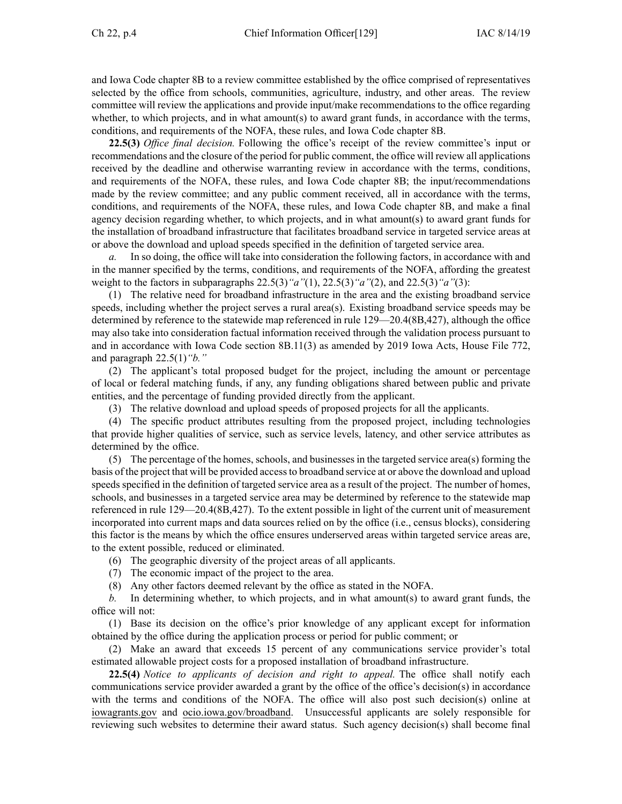and Iowa Code chapter [8B](https://www.legis.iowa.gov/docs/ico/chapter/2018/8B.pdf) to <sup>a</sup> review committee established by the office comprised of representatives selected by the office from schools, communities, agriculture, industry, and other areas. The review committee will review the applications and provide input/make recommendations to the office regarding whether, to which projects, and in what amount(s) to award grant funds, in accordance with the terms, conditions, and requirements of the NOFA, these rules, and Iowa Code chapter [8B](https://www.legis.iowa.gov/docs/ico/chapter/2018/8B.pdf).

**22.5(3)** *Office final decision.* Following the office's receipt of the review committee's input or recommendations and the closure of the period for public comment, the office will review all applications received by the deadline and otherwise warranting review in accordance with the terms, conditions, and requirements of the NOFA, these rules, and Iowa Code chapter [8B](https://www.legis.iowa.gov/docs/ico/chapter/2018/8B.pdf); the input/recommendations made by the review committee; and any public comment received, all in accordance with the terms, conditions, and requirements of the NOFA, these rules, and Iowa Code chapter [8B](https://www.legis.iowa.gov/docs/ico/chapter/2018/8B.pdf), and make <sup>a</sup> final agency decision regarding whether, to which projects, and in what amount(s) to award gran<sup>t</sup> funds for the installation of broadband infrastructure that facilitates broadband service in targeted service areas at or above the download and upload speeds specified in the definition of targeted service area.

*a.* In so doing, the office will take into consideration the following factors, in accordance with and in the manner specified by the terms, conditions, and requirements of the NOFA, affording the greatest weight to the factors in subparagraphs [22.5\(3\)](https://www.legis.iowa.gov/docs/iac/rule/129.22.5.pdf)*"a"*(1), [22.5\(3\)](https://www.legis.iowa.gov/docs/iac/rule/129.22.5.pdf)*"a"*(2), and [22.5\(3\)](https://www.legis.iowa.gov/docs/iac/rule/129.22.5.pdf)*"a"*(3):

(1) The relative need for broadband infrastructure in the area and the existing broadband service speeds, including whether the project serves <sup>a</sup> rural area(s). Existing broadband service speeds may be determined by reference to the statewide map referenced in rule [129—20.4](https://www.legis.iowa.gov/docs/iac/rule/129.20.4.pdf)(8B,427), although the office may also take into consideration factual information received through the validation process pursuan<sup>t</sup> to and in accordance with Iowa Code section [8B.11\(3\)](https://www.legis.iowa.gov/docs/ico/section/8B.11.pdf) as amended by 2019 Iowa Acts, House File 772, and paragraph [22.5\(1\)](https://www.legis.iowa.gov/docs/iac/rule/129.22.5.pdf)*"b."*

(2) The applicant's total proposed budget for the project, including the amount or percentage of local or federal matching funds, if any, any funding obligations shared between public and private entities, and the percentage of funding provided directly from the applicant.

(3) The relative download and upload speeds of proposed projects for all the applicants.

(4) The specific product attributes resulting from the proposed project, including technologies that provide higher qualities of service, such as service levels, latency, and other service attributes as determined by the office.

(5) The percentage of the homes, schools, and businessesin the targeted service area(s) forming the basis of the project that will be provided accessto broadband service at or above the download and upload speeds specified in the definition of targeted service area as <sup>a</sup> result of the project. The number of homes, schools, and businesses in <sup>a</sup> targeted service area may be determined by reference to the statewide map referenced in rule [129—20.4](https://www.legis.iowa.gov/docs/iac/rule/129.20.4.pdf)(8B,427). To the extent possible in light of the current unit of measurement incorporated into current maps and data sources relied on by the office (i.e., census blocks), considering this factor is the means by which the office ensures underserved areas within targeted service areas are, to the extent possible, reduced or eliminated.

(6) The geographic diversity of the project areas of all applicants.

(7) The economic impact of the project to the area.

(8) Any other factors deemed relevant by the office as stated in the NOFA.

*b.* In determining whether, to which projects, and in what amount(s) to award gran<sup>t</sup> funds, the office will not:

(1) Base its decision on the office's prior knowledge of any applicant excep<sup>t</sup> for information obtained by the office during the application process or period for public comment; or

(2) Make an award that exceeds 15 percen<sup>t</sup> of any communications service provider's total estimated allowable project costs for <sup>a</sup> proposed installation of broadband infrastructure.

**22.5(4)** *Notice to applicants of decision and right to appeal.* The office shall notify each communications service provider awarded <sup>a</sup> gran<sup>t</sup> by the office of the office's decision(s) in accordance with the terms and conditions of the NOFA. The office will also pos<sup>t</sup> such decision(s) online at [iowagrants.gov](http://iowagrants.gov) and [ocio.iowa.gov/broadband](http://ocio.iowa.gov/broadband). Unsuccessful applicants are solely responsible for reviewing such websites to determine their award status. Such agency decision(s) shall become final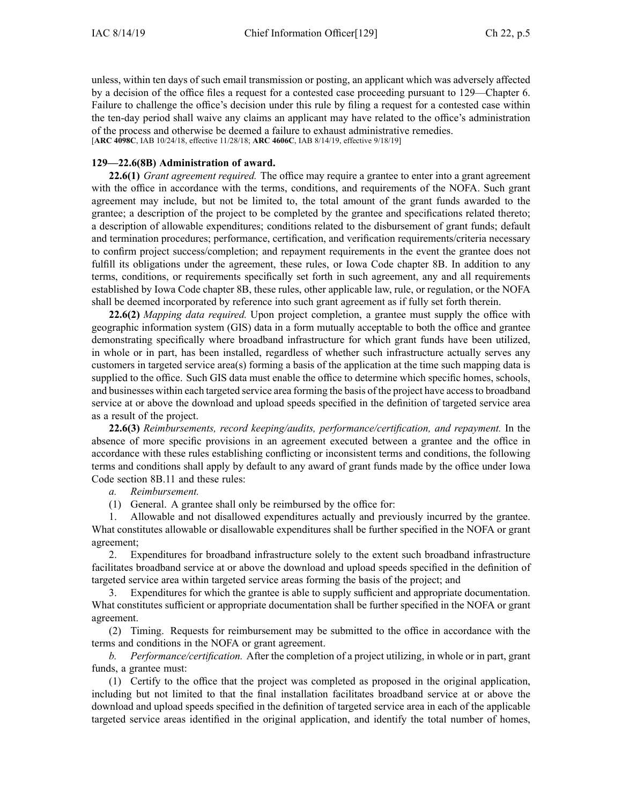unless, within ten days of such email transmission or posting, an applicant which was adversely affected by <sup>a</sup> decision of the office files <sup>a</sup> reques<sup>t</sup> for <sup>a</sup> contested case proceeding pursuan<sup>t</sup> to 129—Chapter 6. Failure to challenge the office's decision under this rule by filing <sup>a</sup> reques<sup>t</sup> for <sup>a</sup> contested case within the ten-day period shall waive any claims an applicant may have related to the office's administration of the process and otherwise be deemed <sup>a</sup> failure to exhaust administrative remedies. [**ARC [4098C](https://www.legis.iowa.gov/docs/aco/arc/4098C.pdf)**, IAB 10/24/18, effective 11/28/18; **ARC [4606C](https://www.legis.iowa.gov/docs/aco/arc/4606C.pdf)**, IAB 8/14/19, effective 9/18/19]

## **129—22.6(8B) Administration of award.**

**22.6(1)** *Grant agreemen<sup>t</sup> required.* The office may require <sup>a</sup> grantee to enter into <sup>a</sup> gran<sup>t</sup> agreemen<sup>t</sup> with the office in accordance with the terms, conditions, and requirements of the NOFA. Such grant agreemen<sup>t</sup> may include, but not be limited to, the total amount of the gran<sup>t</sup> funds awarded to the grantee; <sup>a</sup> description of the project to be completed by the grantee and specifications related thereto; <sup>a</sup> description of allowable expenditures; conditions related to the disbursement of gran<sup>t</sup> funds; default and termination procedures; performance, certification, and verification requirements/criteria necessary to confirm project success/completion; and repaymen<sup>t</sup> requirements in the event the grantee does not fulfill its obligations under the agreement, these rules, or Iowa Code chapter [8B](https://www.legis.iowa.gov/docs/ico/chapter/2018/8B.pdf). In addition to any terms, conditions, or requirements specifically set forth in such agreement, any and all requirements established by Iowa Code chapter [8B](https://www.legis.iowa.gov/docs/ico/chapter/2018/8B.pdf), these rules, other applicable law, rule, or regulation, or the NOFA shall be deemed incorporated by reference into such gran<sup>t</sup> agreemen<sup>t</sup> as if fully set forth therein.

**22.6(2)** *Mapping data required.* Upon project completion, <sup>a</sup> grantee must supply the office with geographic information system (GIS) data in <sup>a</sup> form mutually acceptable to both the office and grantee demonstrating specifically where broadband infrastructure for which gran<sup>t</sup> funds have been utilized, in whole or in part, has been installed, regardless of whether such infrastructure actually serves any customers in targeted service area(s) forming <sup>a</sup> basis of the application at the time such mapping data is supplied to the office. Such GIS data must enable the office to determine which specific homes, schools, and businesses within each targeted service area forming the basis of the project have accessto broadband service at or above the download and upload speeds specified in the definition of targeted service area as <sup>a</sup> result of the project.

**22.6(3)** *Reimbursements, record keeping/audits, performance/certification, and repayment.* In the absence of more specific provisions in an agreemen<sup>t</sup> executed between <sup>a</sup> grantee and the office in accordance with these rules establishing conflicting or inconsistent terms and conditions, the following terms and conditions shall apply by default to any award of gran<sup>t</sup> funds made by the office under Iowa Code section [8B.11](https://www.legis.iowa.gov/docs/ico/section/2018/8B.11.pdf) and these rules:

*a. Reimbursement.*

(1) General. A grantee shall only be reimbursed by the office for:

1. Allowable and not disallowed expenditures actually and previously incurred by the grantee. What constitutes allowable or disallowable expenditures shall be further specified in the NOFA or gran<sup>t</sup> agreement;

2. Expenditures for broadband infrastructure solely to the extent such broadband infrastructure facilitates broadband service at or above the download and upload speeds specified in the definition of targeted service area within targeted service areas forming the basis of the project; and

3. Expenditures for which the grantee is able to supply sufficient and appropriate documentation. What constitutes sufficient or appropriate documentation shall be further specified in the NOFA or gran<sup>t</sup> agreement.

(2) Timing. Requests for reimbursement may be submitted to the office in accordance with the terms and conditions in the NOFA or gran<sup>t</sup> agreement.

*b. Performance/certification.* After the completion of <sup>a</sup> project utilizing, in whole or in part, gran<sup>t</sup> funds, <sup>a</sup> grantee must:

(1) Certify to the office that the project was completed as proposed in the original application, including but not limited to that the final installation facilitates broadband service at or above the download and upload speeds specified in the definition of targeted service area in each of the applicable targeted service areas identified in the original application, and identify the total number of homes,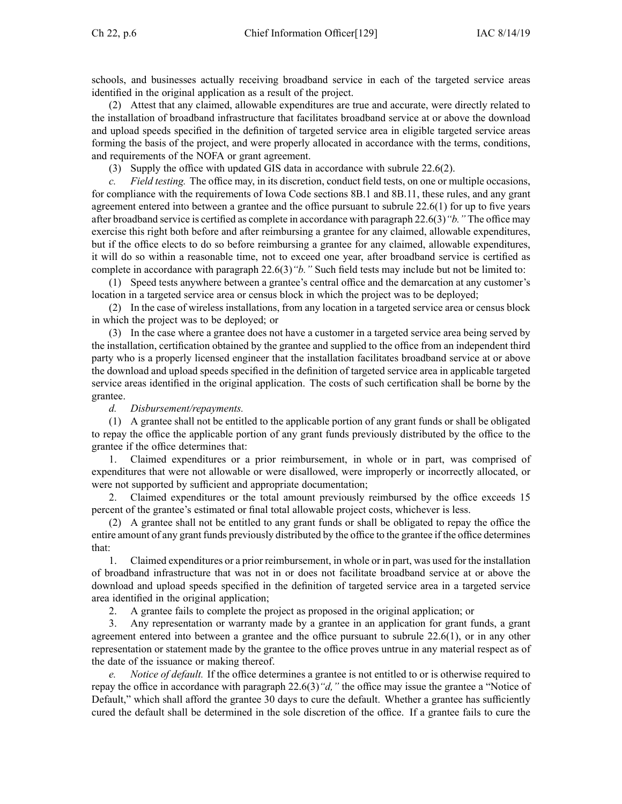schools, and businesses actually receiving broadband service in each of the targeted service areas identified in the original application as <sup>a</sup> result of the project.

(2) Attest that any claimed, allowable expenditures are true and accurate, were directly related to the installation of broadband infrastructure that facilitates broadband service at or above the download and upload speeds specified in the definition of targeted service area in eligible targeted service areas forming the basis of the project, and were properly allocated in accordance with the terms, conditions, and requirements of the NOFA or gran<sup>t</sup> agreement.

(3) Supply the office with updated GIS data in accordance with subrule [22.6\(2\)](https://www.legis.iowa.gov/docs/iac/rule/129.22.6.pdf).

*c. Field testing.* The office may, in its discretion, conduct field tests, on one or multiple occasions, for compliance with the requirements of Iowa Code sections [8B.1](https://www.legis.iowa.gov/docs/ico/section/2018/8B.1.pdf) and [8B.11](https://www.legis.iowa.gov/docs/ico/section/2018/8B.11.pdf), these rules, and any gran<sup>t</sup> agreemen<sup>t</sup> entered into between <sup>a</sup> grantee and the office pursuan<sup>t</sup> to subrule 22.6(1) for up to five years after broadband service is certified as complete in accordance with paragraph 22.6(3)*"b."* The office may exercise this right both before and after reimbursing <sup>a</sup> grantee for any claimed, allowable expenditures, but if the office elects to do so before reimbursing <sup>a</sup> grantee for any claimed, allowable expenditures, it will do so within <sup>a</sup> reasonable time, not to exceed one year, after broadband service is certified as complete in accordance with paragraph 22.6(3)*"b."* Such field tests may include but not be limited to:

(1) Speed tests anywhere between <sup>a</sup> grantee's central office and the demarcation at any customer's location in <sup>a</sup> targeted service area or census block in which the project was to be deployed;

(2) In the case of wireless installations, from any location in <sup>a</sup> targeted service area or census block in which the project was to be deployed; or

(3) In the case where <sup>a</sup> grantee does not have <sup>a</sup> customer in <sup>a</sup> targeted service area being served by the installation, certification obtained by the grantee and supplied to the office from an independent third party who is <sup>a</sup> properly licensed engineer that the installation facilitates broadband service at or above the download and upload speeds specified in the definition of targeted service area in applicable targeted service areas identified in the original application. The costs of such certification shall be borne by the grantee.

*d. Disbursement/repayments.*

(1) A grantee shall not be entitled to the applicable portion of any gran<sup>t</sup> funds or shall be obligated to repay the office the applicable portion of any gran<sup>t</sup> funds previously distributed by the office to the grantee if the office determines that:

1. Claimed expenditures or <sup>a</sup> prior reimbursement, in whole or in part, was comprised of expenditures that were not allowable or were disallowed, were improperly or incorrectly allocated, or were not supported by sufficient and appropriate documentation;

2. Claimed expenditures or the total amount previously reimbursed by the office exceeds 15 percen<sup>t</sup> of the grantee's estimated or final total allowable project costs, whichever is less.

(2) A grantee shall not be entitled to any gran<sup>t</sup> funds or shall be obligated to repay the office the entire amount of any gran<sup>t</sup> funds previously distributed by the office to the grantee if the office determines that:

1. Claimed expenditures or <sup>a</sup> prior reimbursement, in whole or in part, was used for the installation of broadband infrastructure that was not in or does not facilitate broadband service at or above the download and upload speeds specified in the definition of targeted service area in <sup>a</sup> targeted service area identified in the original application;

2. A grantee fails to complete the project as proposed in the original application; or

3. Any representation or warranty made by <sup>a</sup> grantee in an application for gran<sup>t</sup> funds, <sup>a</sup> gran<sup>t</sup> agreemen<sup>t</sup> entered into between <sup>a</sup> grantee and the office pursuan<sup>t</sup> to subrule [22.6\(1\)](https://www.legis.iowa.gov/docs/iac/rule/129.22.6.pdf), or in any other representation or statement made by the grantee to the office proves untrue in any material respec<sup>t</sup> as of the date of the issuance or making thereof.

*Notice of default.* If the office determines a grantee is not entitled to or is otherwise required to repay the office in accordance with paragraph 22.6(3)*"d,"* the office may issue the grantee <sup>a</sup> "Notice of Default," which shall afford the grantee 30 days to cure the default. Whether a grantee has sufficiently cured the default shall be determined in the sole discretion of the office. If <sup>a</sup> grantee fails to cure the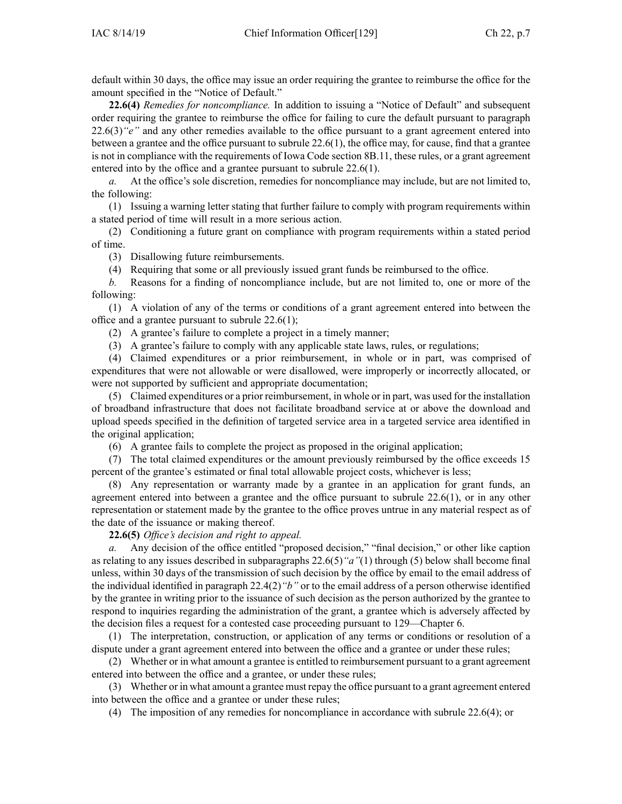default within 30 days, the office may issue an order requiring the grantee to reimburse the office for the amount specified in the "Notice of Default."

**22.6(4)** *Remedies for noncompliance.* In addition to issuing <sup>a</sup> "Notice of Default" and subsequent order requiring the grantee to reimburse the office for failing to cure the default pursuan<sup>t</sup> to paragraph 22.6(3)*"e"* and any other remedies available to the office pursuan<sup>t</sup> to <sup>a</sup> gran<sup>t</sup> agreemen<sup>t</sup> entered into between <sup>a</sup> grantee and the office pursuan<sup>t</sup> to subrule 22.6(1), the office may, for cause, find that <sup>a</sup> grantee is not in compliance with the requirements of Iowa Code section [8B.11](https://www.legis.iowa.gov/docs/ico/section/2018/8.11.pdf), these rules, or <sup>a</sup> gran<sup>t</sup> agreemen<sup>t</sup> entered into by the office and <sup>a</sup> grantee pursuan<sup>t</sup> to subrule 22.6(1).

*a.* At the office's sole discretion, remedies for noncompliance may include, but are not limited to, the following:

(1) Issuing <sup>a</sup> warning letter stating that further failure to comply with program requirements within <sup>a</sup> stated period of time will result in <sup>a</sup> more serious action.

(2) Conditioning <sup>a</sup> future gran<sup>t</sup> on compliance with program requirements within <sup>a</sup> stated period of time.

(3) Disallowing future reimbursements.

(4) Requiring that some or all previously issued gran<sup>t</sup> funds be reimbursed to the office.

*b.* Reasons for <sup>a</sup> finding of noncompliance include, but are not limited to, one or more of the following:

(1) A violation of any of the terms or conditions of <sup>a</sup> gran<sup>t</sup> agreemen<sup>t</sup> entered into between the office and <sup>a</sup> grantee pursuan<sup>t</sup> to subrule 22.6(1);

(2) A grantee's failure to complete <sup>a</sup> project in <sup>a</sup> timely manner;

(3) A grantee's failure to comply with any applicable state laws, rules, or regulations;

(4) Claimed expenditures or <sup>a</sup> prior reimbursement, in whole or in part, was comprised of expenditures that were not allowable or were disallowed, were improperly or incorrectly allocated, or were not supported by sufficient and appropriate documentation;

(5) Claimed expenditures or <sup>a</sup> prior reimbursement, in whole or in part, was used for the installation of broadband infrastructure that does not facilitate broadband service at or above the download and upload speeds specified in the definition of targeted service area in <sup>a</sup> targeted service area identified in the original application;

(6) A grantee fails to complete the project as proposed in the original application;

(7) The total claimed expenditures or the amount previously reimbursed by the office exceeds 15 percen<sup>t</sup> of the grantee's estimated or final total allowable project costs, whichever is less;

(8) Any representation or warranty made by <sup>a</sup> grantee in an application for gran<sup>t</sup> funds, an agreemen<sup>t</sup> entered into between <sup>a</sup> grantee and the office pursuan<sup>t</sup> to subrule 22.6(1), or in any other representation or statement made by the grantee to the office proves untrue in any material respec<sup>t</sup> as of the date of the issuance or making thereof.

**22.6(5)** *Office's decision and right to appeal.*

*a.* Any decision of the office entitled "proposed decision," "final decision," or other like caption as relating to any issues described in subparagraphs 22.6(5)*"a"*(1) through (5) below shall become final unless, within 30 days of the transmission of such decision by the office by email to the email address of the individual identified in paragraph 22.4(2)*"b"* or to the email address of <sup>a</sup> person otherwise identified by the grantee in writing prior to the issuance of such decision as the person authorized by the grantee to respond to inquiries regarding the administration of the grant, <sup>a</sup> grantee which is adversely affected by the decision files <sup>a</sup> reques<sup>t</sup> for <sup>a</sup> contested case proceeding pursuan<sup>t</sup> to 129—Chapter 6.

(1) The interpretation, construction, or application of any terms or conditions or resolution of <sup>a</sup> dispute under <sup>a</sup> gran<sup>t</sup> agreemen<sup>t</sup> entered into between the office and <sup>a</sup> grantee or under these rules;

(2) Whether or in what amount <sup>a</sup> grantee is entitled to reimbursement pursuan<sup>t</sup> to <sup>a</sup> gran<sup>t</sup> agreemen<sup>t</sup> entered into between the office and <sup>a</sup> grantee, or under these rules;

(3) Whether or in what amount <sup>a</sup> grantee must repay the office pursuan<sup>t</sup> to <sup>a</sup> gran<sup>t</sup> agreemen<sup>t</sup> entered into between the office and <sup>a</sup> grantee or under these rules;

(4) The imposition of any remedies for noncompliance in accordance with subrule 22.6(4); or